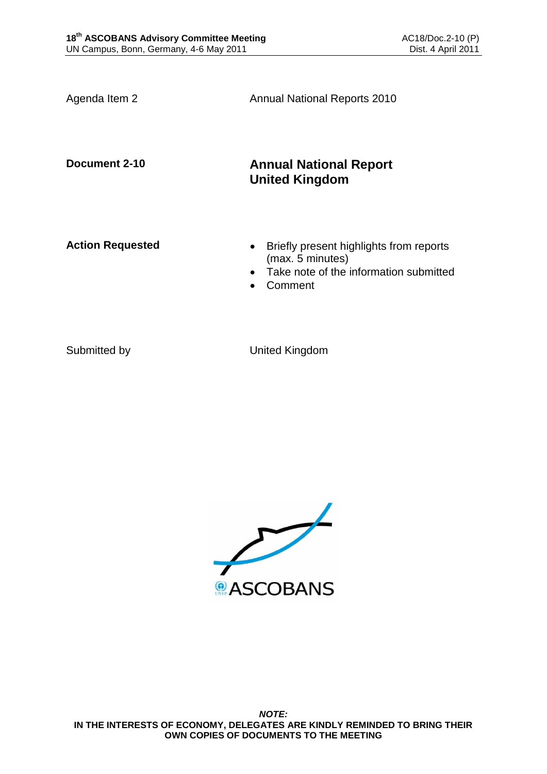| Agenda Item 2           | <b>Annual National Reports 2010</b>                                                                              |
|-------------------------|------------------------------------------------------------------------------------------------------------------|
| Document 2-10           | <b>Annual National Report</b><br><b>United Kingdom</b>                                                           |
| <b>Action Requested</b> | Briefly present highlights from reports<br>(max. 5 minutes)<br>Take note of the information submitted<br>Comment |

Submitted by United Kingdom

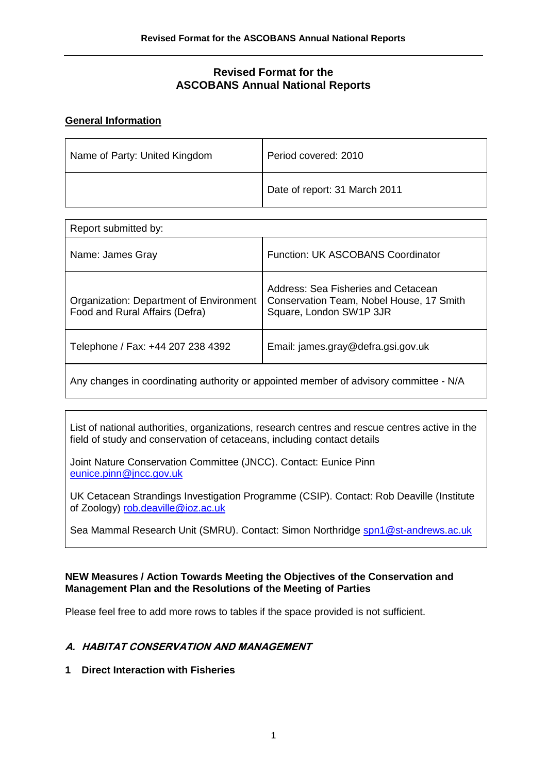## **Revised Format for the ASCOBANS Annual National Reports**

#### **General Information**

| Name of Party: United Kingdom | Period covered: 2010          |
|-------------------------------|-------------------------------|
|                               | Date of report: 31 March 2011 |

| Report submitted by:                                                      |                                                                                                            |  |
|---------------------------------------------------------------------------|------------------------------------------------------------------------------------------------------------|--|
| Name: James Gray                                                          | <b>Function: UK ASCOBANS Coordinator</b>                                                                   |  |
| Organization: Department of Environment<br>Food and Rural Affairs (Defra) | Address: Sea Fisheries and Cetacean<br>Conservation Team, Nobel House, 17 Smith<br>Square, London SW1P 3JR |  |
| Telephone / Fax: +44 207 238 4392                                         | Email: james.gray@defra.gsi.gov.uk                                                                         |  |
|                                                                           |                                                                                                            |  |

Any changes in coordinating authority or appointed member of advisory committee - N/A

List of national authorities, organizations, research centres and rescue centres active in the field of study and conservation of cetaceans, including contact details

Joint Nature Conservation Committee (JNCC). Contact: Eunice Pinn [eunice.pinn@jncc.gov.uk](mailto:eunice.pinn@jncc.gov.uk)

UK Cetacean Strandings Investigation Programme (CSIP). Contact: Rob Deaville (Institute of Zoology) [rob.deaville@ioz.ac.uk](mailto:rob.deaville@ioz.ac.uk)

Sea Mammal Research Unit (SMRU). Contact: Simon Northridge [spn1@st-andrews.ac.uk](mailto:spn1@st-andrews.ac.uk)

#### **NEW Measures / Action Towards Meeting the Objectives of the Conservation and Management Plan and the Resolutions of the Meeting of Parties**

Please feel free to add more rows to tables if the space provided is not sufficient.

## **A. HABITAT CONSERVATION AND MANAGEMENT**

**1 Direct Interaction with Fisheries**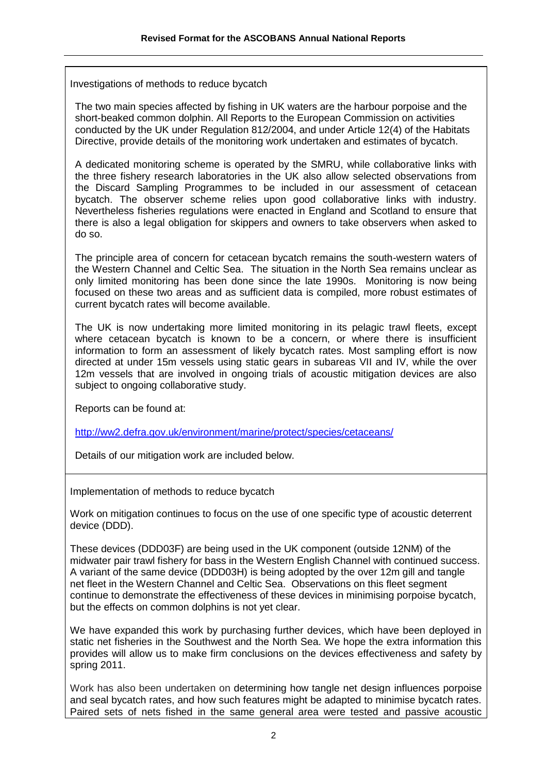Investigations of methods to reduce bycatch

The two main species affected by fishing in UK waters are the harbour porpoise and the short-beaked common dolphin. All Reports to the European Commission on activities conducted by the UK under Regulation 812/2004, and under Article 12(4) of the Habitats Directive, provide details of the monitoring work undertaken and estimates of bycatch.

A dedicated monitoring scheme is operated by the SMRU, while collaborative links with the three fishery research laboratories in the UK also allow selected observations from the Discard Sampling Programmes to be included in our assessment of cetacean bycatch. The observer scheme relies upon good collaborative links with industry. Nevertheless fisheries regulations were enacted in England and Scotland to ensure that there is also a legal obligation for skippers and owners to take observers when asked to do so.

The principle area of concern for cetacean bycatch remains the south-western waters of the Western Channel and Celtic Sea. The situation in the North Sea remains unclear as only limited monitoring has been done since the late 1990s. Monitoring is now being focused on these two areas and as sufficient data is compiled, more robust estimates of current bycatch rates will become available.

The UK is now undertaking more limited monitoring in its pelagic trawl fleets, except where cetacean bycatch is known to be a concern, or where there is insufficient information to form an assessment of likely bycatch rates. Most sampling effort is now directed at under 15m vessels using static gears in subareas VII and IV, while the over 12m vessels that are involved in ongoing trials of acoustic mitigation devices are also subject to ongoing collaborative study.

Reports can be found at:

<http://ww2.defra.gov.uk/environment/marine/protect/species/cetaceans/>

Details of our mitigation work are included below.

Implementation of methods to reduce bycatch

Work on mitigation continues to focus on the use of one specific type of acoustic deterrent device (DDD).

These devices (DDD03F) are being used in the UK component (outside 12NM) of the midwater pair trawl fishery for bass in the Western English Channel with continued success. A variant of the same device (DDD03H) is being adopted by the over 12m gill and tangle net fleet in the Western Channel and Celtic Sea. Observations on this fleet segment continue to demonstrate the effectiveness of these devices in minimising porpoise bycatch, but the effects on common dolphins is not yet clear.

We have expanded this work by purchasing further devices, which have been deployed in static net fisheries in the Southwest and the North Sea. We hope the extra information this provides will allow us to make firm conclusions on the devices effectiveness and safety by spring 2011.

Work has also been undertaken on determining how tangle net design influences porpoise and seal bycatch rates, and how such features might be adapted to minimise bycatch rates. Paired sets of nets fished in the same general area were tested and passive acoustic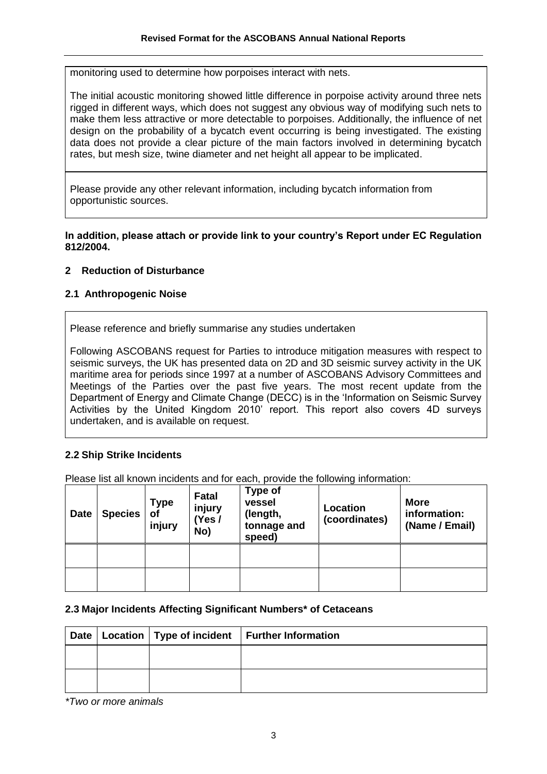monitoring used to determine how porpoises interact with nets.

The initial acoustic monitoring showed little difference in porpoise activity around three nets rigged in different ways, which does not suggest any obvious way of modifying such nets to make them less attractive or more detectable to porpoises. Additionally, the influence of net design on the probability of a bycatch event occurring is being investigated. The existing data does not provide a clear picture of the main factors involved in determining bycatch rates, but mesh size, twine diameter and net height all appear to be implicated.

Please provide any other relevant information, including bycatch information from opportunistic sources.

#### **In addition, please attach or provide link to your country's Report under EC Regulation 812/2004.**

#### **2 Reduction of Disturbance**

#### **2.1 Anthropogenic Noise**

Please reference and briefly summarise any studies undertaken

Following ASCOBANS request for Parties to introduce mitigation measures with respect to seismic surveys, the UK has presented data on 2D and 3D seismic survey activity in the UK maritime area for periods since 1997 at a number of ASCOBANS Advisory Committees and Meetings of the Parties over the past five years. The most recent update from the Department of Energy and Climate Change (DECC) is in the 'Information on Seismic Survey Activities by the United Kingdom 2010' report. This report also covers 4D surveys undertaken, and is available on request.

#### **2.2 Ship Strike Incidents**

Please list all known incidents and for each, provide the following information:

| <b>Date</b> | <b>Species</b> | <b>Type</b><br>of<br>injury | <b>Fatal</b><br>injury<br>(Yes/<br>No) | Type of<br>vessel<br>(length,<br>tonnage and<br>speed) | Location<br>(coordinates) | <b>More</b><br>information:<br>(Name / Email) |
|-------------|----------------|-----------------------------|----------------------------------------|--------------------------------------------------------|---------------------------|-----------------------------------------------|
|             |                |                             |                                        |                                                        |                           |                                               |
|             |                |                             |                                        |                                                        |                           |                                               |

#### **2.3 Major Incidents Affecting Significant Numbers\* of Cetaceans**

|  | Date   Location   Type of incident   Further Information |  |
|--|----------------------------------------------------------|--|
|  |                                                          |  |
|  |                                                          |  |

*\*Two or more animals*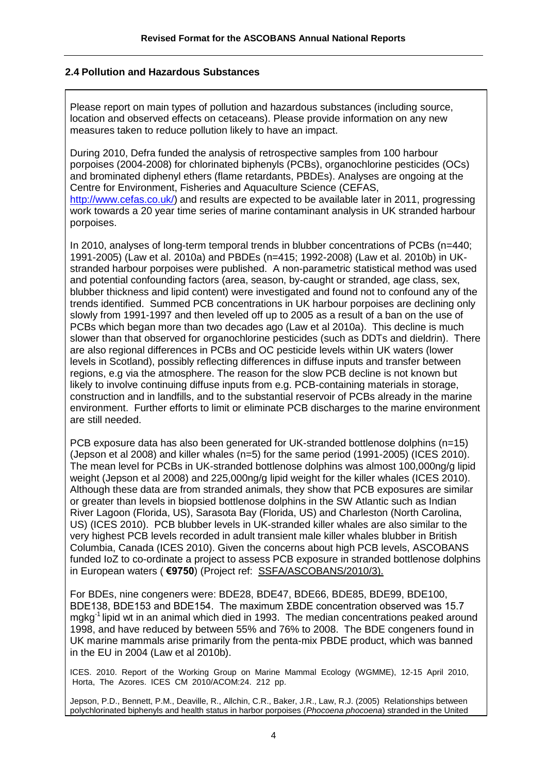#### **2.4 Pollution and Hazardous Substances**

Please report on main types of pollution and hazardous substances (including source, location and observed effects on cetaceans). Please provide information on any new measures taken to reduce pollution likely to have an impact.

During 2010, Defra funded the analysis of retrospective samples from 100 harbour porpoises (2004-2008) for chlorinated biphenyls (PCBs), organochlorine pesticides (OCs) and brominated diphenyl ethers (flame retardants, PBDEs). Analyses are ongoing at the Centre for Environment, Fisheries and Aquaculture Science (CEFAS, [http://www.cefas.co.uk/\)](http://www.cefas.co.uk/) and results are expected to be available later in 2011, progressing work towards a 20 year time series of marine contaminant analysis in UK stranded harbour porpoises.

In 2010, analyses of long-term temporal trends in blubber concentrations of PCBs (n=440; 1991-2005) (Law et al. 2010a) and PBDEs (n=415; 1992-2008) (Law et al. 2010b) in UKstranded harbour porpoises were published. A non-parametric statistical method was used and potential confounding factors (area, season, by-caught or stranded, age class, sex, blubber thickness and lipid content) were investigated and found not to confound any of the trends identified. Summed PCB concentrations in UK harbour porpoises are declining only slowly from 1991-1997 and then leveled off up to 2005 as a result of a ban on the use of PCBs which began more than two decades ago (Law et al 2010a). This decline is much slower than that observed for organochlorine pesticides (such as DDTs and dieldrin). There are also regional differences in PCBs and OC pesticide levels within UK waters (lower levels in Scotland), possibly reflecting differences in diffuse inputs and transfer between regions, e.g via the atmosphere. The reason for the slow PCB decline is not known but likely to involve continuing diffuse inputs from e.g. PCB-containing materials in storage, construction and in landfills, and to the substantial reservoir of PCBs already in the marine environment. Further efforts to limit or eliminate PCB discharges to the marine environment are still needed.

PCB exposure data has also been generated for UK-stranded bottlenose dolphins (n=15) (Jepson et al 2008) and killer whales (n=5) for the same period (1991-2005) (ICES 2010). The mean level for PCBs in UK-stranded bottlenose dolphins was almost 100,000ng/g lipid weight (Jepson et al 2008) and 225,000ng/g lipid weight for the killer whales (ICES 2010). Although these data are from stranded animals, they show that PCB exposures are similar or greater than levels in biopsied bottlenose dolphins in the SW Atlantic such as Indian River Lagoon (Florida, US), Sarasota Bay (Florida, US) and Charleston (North Carolina, US) (ICES 2010). PCB blubber levels in UK-stranded killer whales are also similar to the very highest PCB levels recorded in adult transient male killer whales blubber in British Columbia, Canada (ICES 2010). Given the concerns about high PCB levels, ASCOBANS funded IoZ to co-ordinate a project to assess PCB exposure in stranded bottlenose dolphins in European waters ( **€9750**) (Project ref: SSFA/ASCOBANS/2010/3).

For BDEs, nine congeners were: BDE28, BDE47, BDE66, BDE85, BDE99, BDE100, BDE138, BDE153 and BDE154. The maximum ΣBDE concentration observed was 15.7 mgkg-1 lipid wt in an animal which died in 1993. The median concentrations peaked around 1998, and have reduced by between 55% and 76% to 2008. The BDE congeners found in UK marine mammals arise primarily from the penta-mix PBDE product, which was banned in the EU in 2004 (Law et al 2010b).

ICES. 2010. Report of the Working Group on Marine Mammal Ecology (WGMME), 12-15 April 2010, Horta, The Azores. ICES CM 2010/ACOM:24. 212 pp.

Jepson, P.D., Bennett, P.M., Deaville, R., Allchin, C.R., Baker, J.R., Law, R.J. (2005) Relationships between polychlorinated biphenyls and health status in harbor porpoises (*Phocoena phocoena*) stranded in the United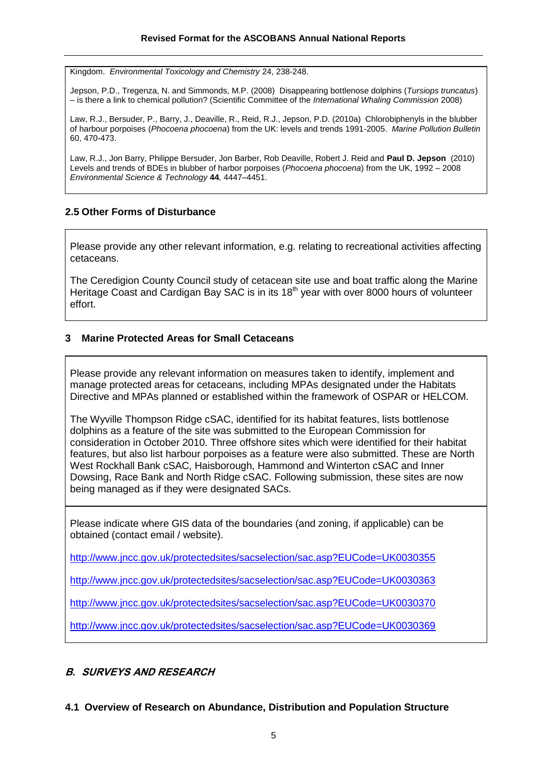Kingdom. *Environmental Toxicology and Chemistry* 24, 238-248.

Jepson, P.D., Tregenza, N. and Simmonds, M.P. (2008) Disappearing bottlenose dolphins (*Tursiops truncatus*) – is there a link to chemical pollution? (Scientific Committee of the *International Whaling Commission* 2008)

Law, R.J., Bersuder, P., Barry, J., Deaville, R., Reid, R.J., Jepson, P.D. (2010a) Chlorobiphenyls in the blubber of harbour porpoises (*Phocoena phocoena*) from the UK: levels and trends 1991-2005. *Marine Pollution Bulletin* 60, 470-473.

Law, R.J., Jon Barry, Philippe Bersuder, Jon Barber, Rob Deaville, Robert J. Reid and **Paul D. Jepson** (2010) Levels and trends of BDEs in blubber of harbor porpoises (*Phocoena phocoena*) from the UK, 1992 – 2008 *Environmental Science & Technology* **44***,* 4447–4451.

#### **2.5 Other Forms of Disturbance**

Please provide any other relevant information, e.g. relating to recreational activities affecting cetaceans.

The Ceredigion County Council study of cetacean site use and boat traffic along the Marine Heritage Coast and Cardigan Bay SAC is in its  $18<sup>th</sup>$  year with over 8000 hours of volunteer effort.

#### **3 Marine Protected Areas for Small Cetaceans**

Please provide any relevant information on measures taken to identify, implement and manage protected areas for cetaceans, including MPAs designated under the Habitats Directive and MPAs planned or established within the framework of OSPAR or HELCOM.

The Wyville Thompson Ridge cSAC, identified for its habitat features, lists bottlenose dolphins as a feature of the site was submitted to the European Commission for consideration in October 2010. Three offshore sites which were identified for their habitat features, but also list harbour porpoises as a feature were also submitted. These are North West Rockhall Bank cSAC, Haisborough, Hammond and Winterton cSAC and Inner Dowsing, Race Bank and North Ridge cSAC. Following submission, these sites are now being managed as if they were designated SACs.

Please indicate where GIS data of the boundaries (and zoning, if applicable) can be obtained (contact email / website).

<http://www.jncc.gov.uk/protectedsites/sacselection/sac.asp?EUCode=UK0030355>

<http://www.jncc.gov.uk/protectedsites/sacselection/sac.asp?EUCode=UK0030363>

<http://www.jncc.gov.uk/protectedsites/sacselection/sac.asp?EUCode=UK0030370>

<http://www.jncc.gov.uk/protectedsites/sacselection/sac.asp?EUCode=UK0030369>

## **B. SURVEYS AND RESEARCH**

**4.1 Overview of Research on Abundance, Distribution and Population Structure**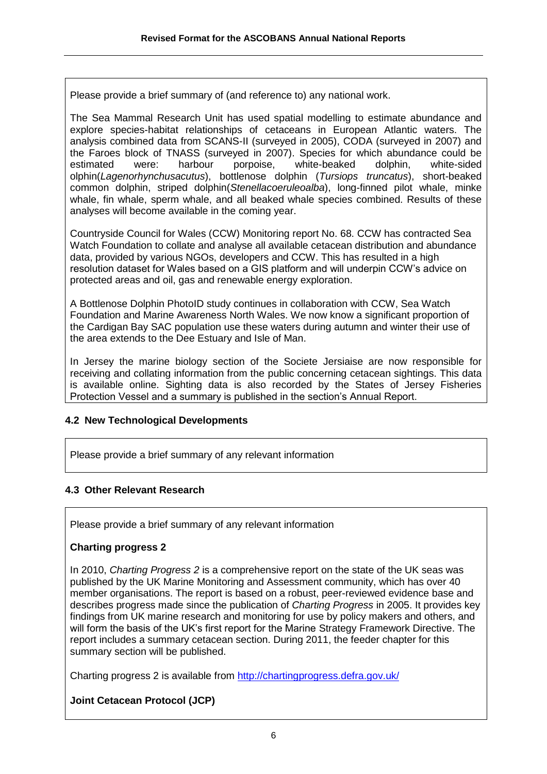Please provide a brief summary of (and reference to) any national work.

The Sea Mammal Research Unit has used spatial modelling to estimate abundance and explore species-habitat relationships of cetaceans in European Atlantic waters. The analysis combined data from SCANS-II (surveyed in 2005), CODA (surveyed in 2007) and the Faroes block of TNASS (surveyed in 2007). Species for which abundance could be estimated were: harbour porpoise, white-beaked dolphin, white-sided olphin(*Lagenorhynchusacutus*), bottlenose dolphin (*Tursiops truncatus*), short-beaked common dolphin, striped dolphin(*Stenellacoeruleoalba*), long-finned pilot whale, minke whale, fin whale, sperm whale, and all beaked whale species combined. Results of these analyses will become available in the coming year.

Countryside Council for Wales (CCW) Monitoring report No. 68. CCW has contracted Sea Watch Foundation to collate and analyse all available cetacean distribution and abundance data, provided by various NGOs, developers and CCW. This has resulted in a high resolution dataset for Wales based on a GIS platform and will underpin CCW's advice on protected areas and oil, gas and renewable energy exploration.

A Bottlenose Dolphin PhotoID study continues in collaboration with CCW, Sea Watch Foundation and Marine Awareness North Wales. We now know a significant proportion of the Cardigan Bay SAC population use these waters during autumn and winter their use of the area extends to the Dee Estuary and Isle of Man.

In Jersey the marine biology section of the Societe Jersiaise are now responsible for receiving and collating information from the public concerning cetacean sightings. This data is available online. Sighting data is also recorded by the States of Jersey Fisheries Protection Vessel and a summary is published in the section's Annual Report.

## **4.2 New Technological Developments**

Please provide a brief summary of any relevant information

# **4.3 Other Relevant Research**

Please provide a brief summary of any relevant information

## **Charting progress 2**

In 2010, *Charting Progress 2* is a comprehensive report on the state of the UK seas was published by the UK Marine Monitoring and Assessment community, which has over 40 member organisations. The report is based on a robust, peer-reviewed evidence base and describes progress made since the publication of *Charting Progress* in 2005. It provides key findings from UK marine research and monitoring for use by policy makers and others, and will form the basis of the UK's first report for the Marine Strategy Framework Directive. The report includes a summary cetacean section. During 2011, the feeder chapter for this summary section will be published.

Charting progress 2 is available from<http://chartingprogress.defra.gov.uk/>

# **Joint Cetacean Protocol (JCP)**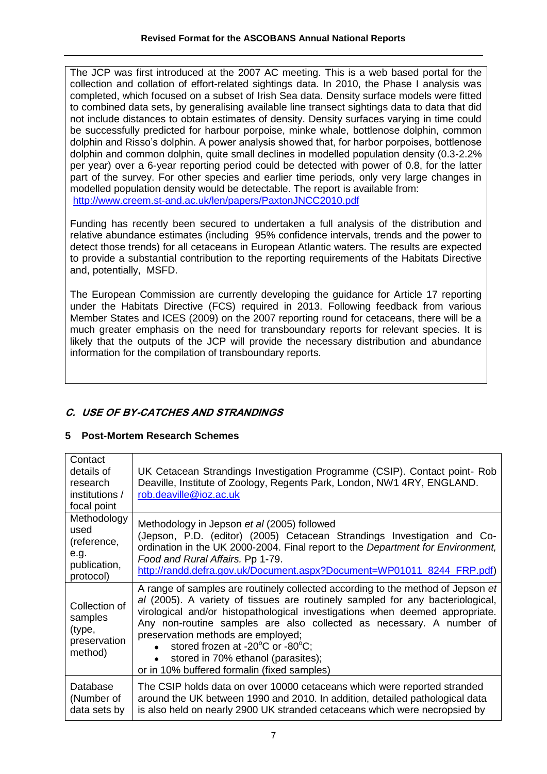The JCP was first introduced at the 2007 AC meeting. This is a web based portal for the collection and collation of effort-related sightings data. In 2010, the Phase I analysis was completed, which focused on a subset of Irish Sea data. Density surface models were fitted to combined data sets, by generalising available line transect sightings data to data that did not include distances to obtain estimates of density. Density surfaces varying in time could be successfully predicted for harbour porpoise, minke whale, bottlenose dolphin, common dolphin and Risso's dolphin. A power analysis showed that, for harbor porpoises, bottlenose dolphin and common dolphin, quite small declines in modelled population density (0.3-2.2% per year) over a 6-year reporting period could be detected with power of 0.8, for the latter part of the survey. For other species and earlier time periods, only very large changes in modelled population density would be detectable. The report is available from: <http://www.creem.st-and.ac.uk/len/papers/PaxtonJNCC2010.pdf>

Funding has recently been secured to undertaken a full analysis of the distribution and relative abundance estimates (including 95% confidence intervals, trends and the power to detect those trends) for all cetaceans in European Atlantic waters. The results are expected to provide a substantial contribution to the reporting requirements of the Habitats Directive and, potentially, MSFD.

The European Commission are currently developing the guidance for Article 17 reporting under the Habitats Directive (FCS) required in 2013. Following feedback from various Member States and ICES (2009) on the 2007 reporting round for cetaceans, there will be a much greater emphasis on the need for transboundary reports for relevant species. It is likely that the outputs of the JCP will provide the necessary distribution and abundance information for the compilation of transboundary reports.

# **C. USE OF BY-CATCHES AND STRANDINGS**

## **5 Post-Mortem Research Schemes**

| Contact<br>details of<br>research<br>institutions /<br>focal point      | UK Cetacean Strandings Investigation Programme (CSIP). Contact point- Rob<br>Deaville, Institute of Zoology, Regents Park, London, NW1 4RY, ENGLAND.<br>rob.deaville@ioz.ac.uk                                                                                                                                                                                                                                                                                                                                                |
|-------------------------------------------------------------------------|-------------------------------------------------------------------------------------------------------------------------------------------------------------------------------------------------------------------------------------------------------------------------------------------------------------------------------------------------------------------------------------------------------------------------------------------------------------------------------------------------------------------------------|
| Methodology<br>used<br>(reference,<br>e.g.<br>publication,<br>protocol) | Methodology in Jepson et al (2005) followed<br>(Jepson, P.D. (editor) (2005) Cetacean Strandings Investigation and Co-<br>ordination in the UK 2000-2004. Final report to the Department for Environment,<br>Food and Rural Affairs. Pp 1-79.<br>http://randd.defra.gov.uk/Document.aspx?Document=WP01011_8244_FRP.pdf)                                                                                                                                                                                                       |
| Collection of<br>samples<br>(type,<br>preservation<br>method)           | A range of samples are routinely collected according to the method of Jepson et<br>al (2005). A variety of tissues are routinely sampled for any bacteriological,<br>virological and/or histopathological investigations when deemed appropriate.<br>Any non-routine samples are also collected as necessary. A number of<br>preservation methods are employed;<br>• stored frozen at -20 $^{\circ}$ C or -80 $^{\circ}$ C;<br>stored in 70% ethanol (parasites);<br>$\bullet$<br>or in 10% buffered formalin (fixed samples) |
| Database<br>(Number of<br>data sets by                                  | The CSIP holds data on over 10000 cetaceans which were reported stranded<br>around the UK between 1990 and 2010. In addition, detailed pathological data<br>is also held on nearly 2900 UK stranded cetaceans which were necropsied by                                                                                                                                                                                                                                                                                        |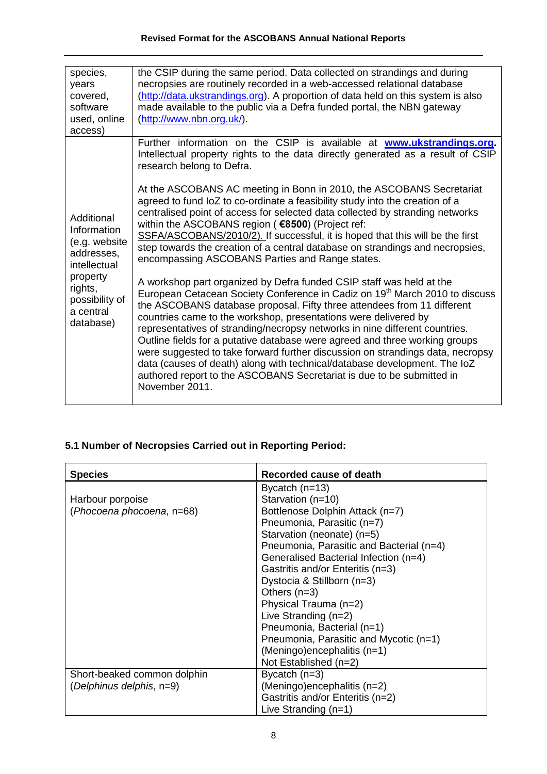| species,<br>years<br>covered,<br>software<br>used, online<br>access)                                                                        | the CSIP during the same period. Data collected on strandings and during<br>necropsies are routinely recorded in a web-accessed relational database<br>(http://data.ukstrandings.org). A proportion of data held on this system is also<br>made available to the public via a Defra funded portal, the NBN gateway<br>(http://www.nbn.org.uk/).                                                                                                                                                                                                                                                                                                                                                                                                                                                                                                                                                                                                                                                                                                                                                                                                                                                                                                                                                                                                                                                                                                           |
|---------------------------------------------------------------------------------------------------------------------------------------------|-----------------------------------------------------------------------------------------------------------------------------------------------------------------------------------------------------------------------------------------------------------------------------------------------------------------------------------------------------------------------------------------------------------------------------------------------------------------------------------------------------------------------------------------------------------------------------------------------------------------------------------------------------------------------------------------------------------------------------------------------------------------------------------------------------------------------------------------------------------------------------------------------------------------------------------------------------------------------------------------------------------------------------------------------------------------------------------------------------------------------------------------------------------------------------------------------------------------------------------------------------------------------------------------------------------------------------------------------------------------------------------------------------------------------------------------------------------|
| Additional<br>Information<br>(e.g. website<br>addresses,<br>intellectual<br>property<br>rights,<br>possibility of<br>a central<br>database) | Further information on the CSIP is available at <b>www.ukstrandings.org</b> .<br>Intellectual property rights to the data directly generated as a result of CSIP<br>research belong to Defra.<br>At the ASCOBANS AC meeting in Bonn in 2010, the ASCOBANS Secretariat<br>agreed to fund loZ to co-ordinate a feasibility study into the creation of a<br>centralised point of access for selected data collected by stranding networks<br>within the ASCOBANS region ( €8500) (Project ref:<br>SSFA/ASCOBANS/2010/2). If successful, it is hoped that this will be the first<br>step towards the creation of a central database on strandings and necropsies,<br>encompassing ASCOBANS Parties and Range states.<br>A workshop part organized by Defra funded CSIP staff was held at the<br>European Cetacean Society Conference in Cadiz on 19 <sup>th</sup> March 2010 to discuss<br>the ASCOBANS database proposal. Fifty three attendees from 11 different<br>countries came to the workshop, presentations were delivered by<br>representatives of stranding/necropsy networks in nine different countries.<br>Outline fields for a putative database were agreed and three working groups<br>were suggested to take forward further discussion on strandings data, necropsy<br>data (causes of death) along with technical/database development. The loZ<br>authored report to the ASCOBANS Secretariat is due to be submitted in<br>November 2011. |

# **5.1 Number of Necropsies Carried out in Reporting Period:**

| <b>Species</b>              | Recorded cause of death                  |
|-----------------------------|------------------------------------------|
|                             | Bycatch $(n=13)$                         |
| Harbour porpoise            | Starvation (n=10)                        |
| (Phocoena phocoena, n=68)   | Bottlenose Dolphin Attack (n=7)          |
|                             | Pneumonia, Parasitic (n=7)               |
|                             | Starvation (neonate) (n=5)               |
|                             | Pneumonia, Parasitic and Bacterial (n=4) |
|                             | Generalised Bacterial Infection (n=4)    |
|                             | Gastritis and/or Enteritis (n=3)         |
|                             | Dystocia & Stillborn (n=3)               |
|                             | Others $(n=3)$                           |
|                             | Physical Trauma (n=2)                    |
|                             | Live Stranding $(n=2)$                   |
|                             | Pneumonia, Bacterial (n=1)               |
|                             | Pneumonia, Parasitic and Mycotic (n=1)   |
|                             | (Meningo)encephalitis (n=1)              |
|                             | Not Established (n=2)                    |
| Short-beaked common dolphin | Bycatch $(n=3)$                          |
| (Delphinus delphis, n=9)    | (Meningo)encephalitis (n=2)              |
|                             | Gastritis and/or Enteritis (n=2)         |
|                             | Live Stranding $(n=1)$                   |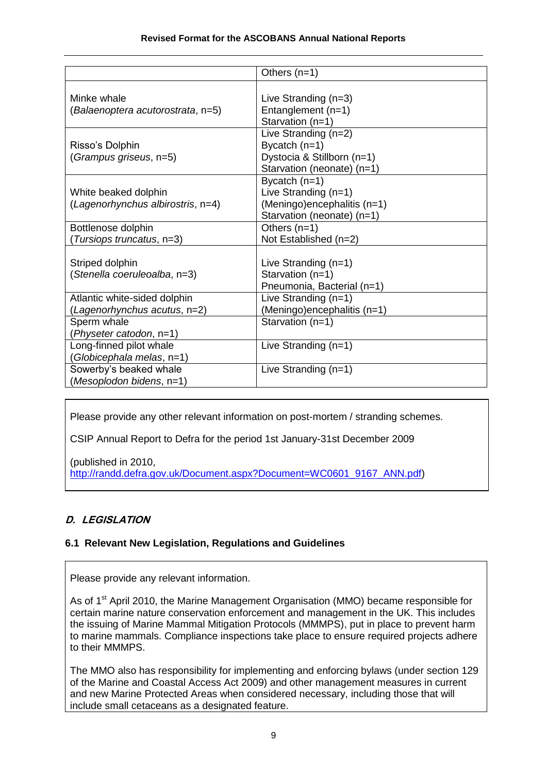|                                                              | Others $(n=1)$                                                                                         |
|--------------------------------------------------------------|--------------------------------------------------------------------------------------------------------|
| Minke whale<br>(Balaenoptera acutorostrata, n=5)             | Live Stranding $(n=3)$<br>Entanglement (n=1)<br>Starvation (n=1)                                       |
| Risso's Dolphin<br>(Grampus griseus, n=5)                    | Live Stranding $(n=2)$<br>Bycatch $(n=1)$<br>Dystocia & Stillborn (n=1)<br>Starvation (neonate) (n=1)  |
| White beaked dolphin<br>(Lagenorhynchus albirostris, n=4)    | Bycatch $(n=1)$<br>Live Stranding $(n=1)$<br>(Meningo)encephalitis (n=1)<br>Starvation (neonate) (n=1) |
| Bottlenose dolphin<br>(Tursiops truncatus, n=3)              | Others $(n=1)$<br>Not Established (n=2)                                                                |
| Striped dolphin<br>(Stenella coeruleoalba, n=3)              | Live Stranding $(n=1)$<br>Starvation (n=1)<br>Pneumonia, Bacterial (n=1)                               |
| Atlantic white-sided dolphin<br>(Lagenorhynchus acutus, n=2) | Live Stranding $(n=1)$<br>(Meningo)encephalitis (n=1)                                                  |
| Sperm whale<br>(Physeter catodon, n=1)                       | Starvation (n=1)                                                                                       |
| Long-finned pilot whale<br>(Globicephala melas, n=1)         | Live Stranding $(n=1)$                                                                                 |
| Sowerby's beaked whale<br>(Mesoplodon bidens, $n=1$ )        | Live Stranding $(n=1)$                                                                                 |

Please provide any other relevant information on post-mortem / stranding schemes.

CSIP Annual Report to Defra for the period 1st January-31st December 2009

(published in 2010,

[http://randd.defra.gov.uk/Document.aspx?Document=WC0601\\_9167\\_ANN.pdf\)](http://randd.defra.gov.uk/Document.aspx?Document=WC0601_9167_ANN.pdf)

# **D. LEGISLATION**

## **6.1 Relevant New Legislation, Regulations and Guidelines**

Please provide any relevant information.

As of 1<sup>st</sup> April 2010, the Marine Management Organisation (MMO) became responsible for certain marine nature conservation enforcement and management in the UK. This includes the issuing of Marine Mammal Mitigation Protocols (MMMPS), put in place to prevent harm to marine mammals. Compliance inspections take place to ensure required projects adhere to their MMMPS.

The MMO also has responsibility for implementing and enforcing bylaws (under section 129 of the Marine and Coastal Access Act 2009) and other management measures in current and new Marine Protected Areas when considered necessary, including those that will include small cetaceans as a designated feature.